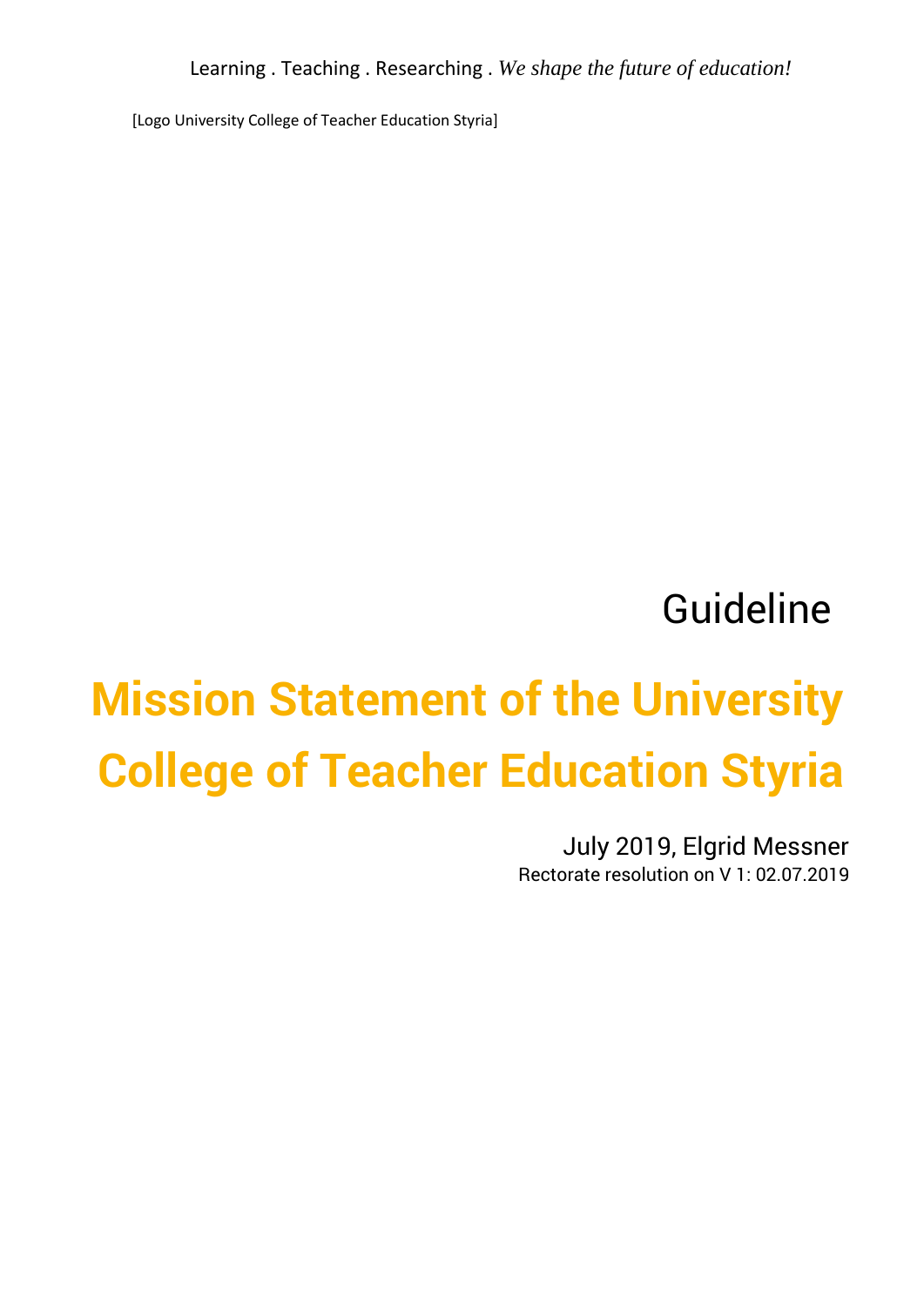Learning . Teaching . Researching . *We shape the future of education!*

[Logo University College of Teacher Education Styria]

## Guideline

# **Mission Statement of the University College of Teacher Education Styria**

July 2019, Elgrid Messner Rectorate resolution on V 1: 02.07.2019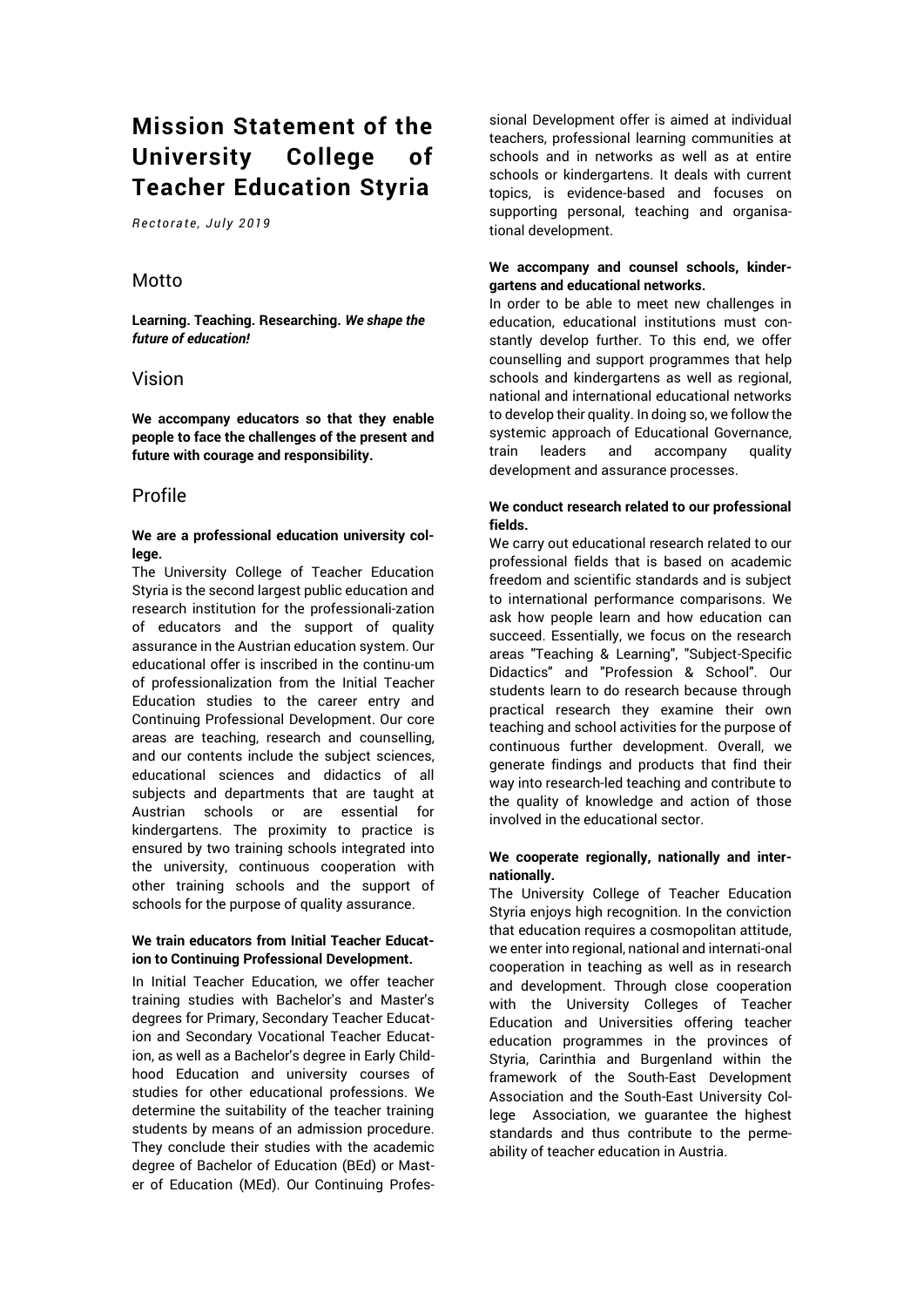### **Mission Statement of the University College of Teacher Education Styria**

*R ec to ra te, J u ly 2 01 9*

#### Motto

**Learning. Teaching. Researching.** *We shape the future of education!*

#### Vision

**We accompany educators so that they enable people to face the challenges of the present and future with courage and responsibility.**

#### Profile

#### **We are a professional education university college.**

The University College of Teacher Education Styria is the second largest public education and research institution for the professionali-zation of educators and the support of quality assurance in the Austrian education system. Our educational offer is inscribed in the continu-um of professionalization from the Initial Teacher Education studies to the career entry and Continuing Professional Development. Our core areas are teaching, research and counselling, and our contents include the subject sciences, educational sciences and didactics of all subjects and departments that are taught at Austrian schools or are essential for kindergartens. The proximity to practice is ensured by two training schools integrated into the university, continuous cooperation with other training schools and the support of schools for the purpose of quality assurance.

#### **We train educators from Initial Teacher Education to Continuing Professional Development.**

In Initial Teacher Education, we offer teacher training studies with Bachelor's and Master's degrees for Primary, Secondary Teacher Education and Secondary Vocational Teacher Education, as well as a Bachelor's degree in Early Childhood Education and university courses of studies for other educational professions. We determine the suitability of the teacher training students by means of an admission procedure. They conclude their studies with the academic degree of Bachelor of Education (BEd) or Master of Education (MEd). Our Continuing Professional Development offer is aimed at individual teachers, professional learning communities at schools and in networks as well as at entire schools or kindergartens. It deals with current topics, is evidence-based and focuses on supporting personal, teaching and organisational development.

#### **We accompany and counsel schools, kindergartens and educational networks.**

In order to be able to meet new challenges in education, educational institutions must constantly develop further. To this end, we offer counselling and support programmes that help schools and kindergartens as well as regional, national and international educational networks to develop their quality. In doing so, we follow the systemic approach of Educational Governance, train leaders and accompany quality development and assurance processes.

#### **We conduct research related to our professional fields.**

We carry out educational research related to our professional fields that is based on academic freedom and scientific standards and is subject to international performance comparisons. We ask how people learn and how education can succeed. Essentially, we focus on the research areas "Teaching & Learning", "Subject-Specific Didactics" and "Profession & School". Our students learn to do research because through practical research they examine their own teaching and school activities for the purpose of continuous further development. Overall, we generate findings and products that find their way into research-led teaching and contribute to the quality of knowledge and action of those involved in the educational sector.

#### **We cooperate regionally, nationally and internationally.**

The University College of Teacher Education Styria enjoys high recognition. In the conviction that education requires a cosmopolitan attitude, we enter into regional, national and internati-onal cooperation in teaching as well as in research and development. Through close cooperation with the University Colleges of Teacher Education and Universities offering teacher education programmes in the provinces of Styria, Carinthia and Burgenland within the framework of the South-East Development Association and the South-East University College Association, we guarantee the highest standards and thus contribute to the permeability of teacher education in Austria.